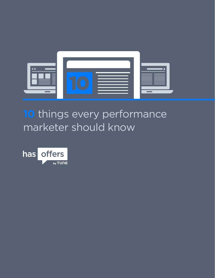

#### **10** things every performance marketer should know

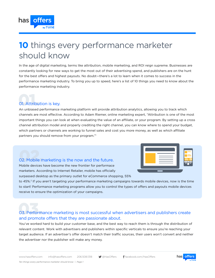#### **10** things every performance marketer should know

In the age of digital marketing, terms like attribution, mobile marketing, and ROI reign supreme. Businesses are constantly looking for new ways to get the most out of their advertising spend, and publishers are on the hunt for the best offers and highest payouts. No doubt—there's a lot to learn when it comes to success in the performance marketing industry. To bring you up to speed, here's a list of 10 things you need to know about the performance marketing industry.

# 01. 01. Attribution is key.

offers

has

An unbiased performance marketing platform will provide attribution analytics, allowing you to track which channels are most effective. According to Adam Riemer, online marketing expert, "Attribution is one of the most important things you can look at when evaluating the value of an affiliate, or your program. By setting up a cross channel attribution model and properly crediting the right channel, you can know where to spend your budget, which partners or channels are working to funnel sales and cost you more money, as well as which affiliate partners you should remove from your program."1

# 02. 02. Mobile marketing is the now and the future.

Mobile devices have become the new frontier for performace marketers. According to Internet Retailer, mobile has officially surpassed desktop as the primary outlet for eCommerce shopping, 55%

|  | (2.0, 0.0) |
|--|------------|
|  |            |

to 45%.2 If you aren't targeting your performance marketing campaigns towards mobile devices, now is the time to start! Performance marketing programs allow you to control the types of offers and payouts mobile devices receive to ensure the optimization of your campaigns.

#### 03. 03. Performance marketing is most successful when advertisers and publishers create and promote offers that they are passionate about.

You've worked hard to build your customer base, and the best way to reach them is through the distribution of relevant content. Work with advertisers and publishers within specific verticals to ensure you're reaching your target audience. If an advertiser's offer doesn't match their traffic sources, their users won't convert and neither the advertiser nor the publisher will make any money.

*Ten things every performance marketer should know | Page 1*

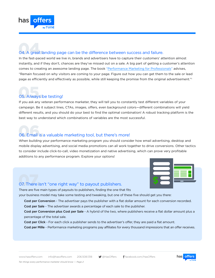

# 04. 04. A great landing page can be the difference between success and failure.

In the fast-paced world we live in, brands and advertisers have to capture their customers' attention almost instantly, and if they don't, chances are they've missed out on a sale. A big part of getting a customer's attention comes to creating an awesome landing page. The book "[Performance Marketing for Professionals"](http://www.amazon.com/Performance-Marketing-Professionals-Murray-Newlands-ebook/dp/B00ESPYEVO/ref=sr_1_3?s=books&ie=UTF8&qid=1408573920&sr=1-3) advises, "Remain focused on why visitors are coming to your page. Figure out how you can get them to the sale or lead page as efficiently and effectively as possible, while still keeping the promise from the original advertisement."<sup>1</sup>

# 05. 05. Always be testing!

If you ask any veteran performance marketer, they will tell you to constantly test different variables of your campaign. Be it subject lines, CTAs, images, offers, even background colors—different combinations will yield different results, and you should do your best to find the optimal combination! A robust tracking platform is the best way to understand which combinations of variables are the most successful.

# 06. 06. Email is a valuable marketing tool, but there's more!

When building your performance marketing program you should consider how email advertising, desktop and mobile display advertising, and social media promotions can all work together to drive conversions. Other tactics to consider include click-to-call, video monetization and native advertising, which can prove very profitable additions to any performance program. Explore your options!



# 07. 07. There isn't "one right way" to payout publishers.

There are five main types of payouts to publishers, finding the one that fits

your business model may take some testing and tweaking, but one of these five should get you there:

Cost per Conversion - The advertiser pays the publisher with a flat dollar amount for each conversion recorded. Cost per Sale - The advertiser awards a percentage of each sale to the publisher.

Cost per Conversion plus Cost per Sale - A hybrid of the two, where publishers receive a flat dollar amount plus a percentage of the total sale.

Cost per Click - For each click a publisher sends to the advertiser's offer, they are paid a flat amount.

Cost per Mille - Performance marketing programs pay affiliates for every thousand impressions that an offer receives.

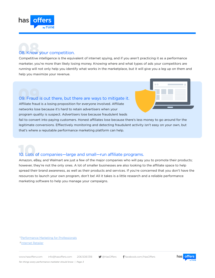

# 08. 08. Know your competition.

Competitive intelligence is the equivalent of internet spying, and if you aren't practicing it as a performance marketer, you're more than likely losing money. Knowing where and what types of ads your competitors are running will not only help you identify what works in the marketplace, but it will give you a leg up on them and help you maximize your revenue.

# 09. 09. Fraud is out there, but there are ways to mitigate it.

Affiliate fraud is a losing proposition for everyone involved. Affiliate networks lose because it's hard to retain advertisers when your program quality is suspect. Advertisers lose because fraudulent leads

 $=$   $\alpha$ 

fail to convert into paying customers. Honest affiliates lose because there's less money to go around for the legitimate conversions. Effiectively monitoring and detecting fraudulent activity isn't easy on your own, but that's where a reputable performance marketing platform can help.

# 10. 10. Lots of companies—large and small—run affiliate programs.

Amazon, eBay, and Walmart are just a few of the major companies who will pay you to promote their products; however, they're not the only ones. A lot of smaller businesses are also looking to the affiliate space to help spread their brand awareness, as well as their products and services. If you're concerned that you don't have the resources to launch your own program, don't be! All it takes is a little research and a reliable performance marketing software to help you manage your campaigns.

<sup>1</sup> [Performance Marketing for Professionals](http://www.amazon.com/Performance-Marketing-Professionals-Murray-Newlands-ebook/dp/B00ESPYEVO/ref=sr_1_3?s=books&ie=UTF8&qid=1408573920&sr=1-3)

2 [Internet Retailer](http://www.internetretailer.com/2013/10/01/its-official-mobile-devices-surpass-pcs-online-retail)

www.hasoffers.com info@hasoffers.com 206.508.1318 **@HasOffers facebook.com/HasOffers**